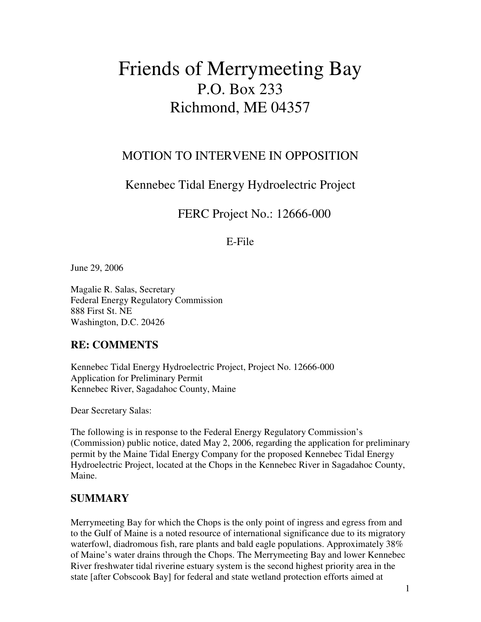# Friends of Merrymeeting Bay P.O. Box 233 Richmond, ME 04357

# MOTION TO INTERVENE IN OPPOSITION

# Kennebec Tidal Energy Hydroelectric Project

# FERC Project No.: 12666-000

### E-File

June 29, 2006

Magalie R. Salas, Secretary Federal Energy Regulatory Commission 888 First St. NE Washington, D.C. 20426

# **RE: COMMENTS**

Kennebec Tidal Energy Hydroelectric Project, Project No. 12666-000 Application for Preliminary Permit Kennebec River, Sagadahoc County, Maine

Dear Secretary Salas:

The following is in response to the Federal Energy Regulatory Commission's (Commission) public notice, dated May 2, 2006, regarding the application for preliminary permit by the Maine Tidal Energy Company for the proposed Kennebec Tidal Energy Hydroelectric Project, located at the Chops in the Kennebec River in Sagadahoc County, Maine.

# **SUMMARY**

Merrymeeting Bay for which the Chops is the only point of ingress and egress from and to the Gulf of Maine is a noted resource of international significance due to its migratory waterfowl, diadromous fish, rare plants and bald eagle populations. Approximately 38% of Maine's water drains through the Chops. The Merrymeeting Bay and lower Kennebec River freshwater tidal riverine estuary system is the second highest priority area in the state [after Cobscook Bay] for federal and state wetland protection efforts aimed at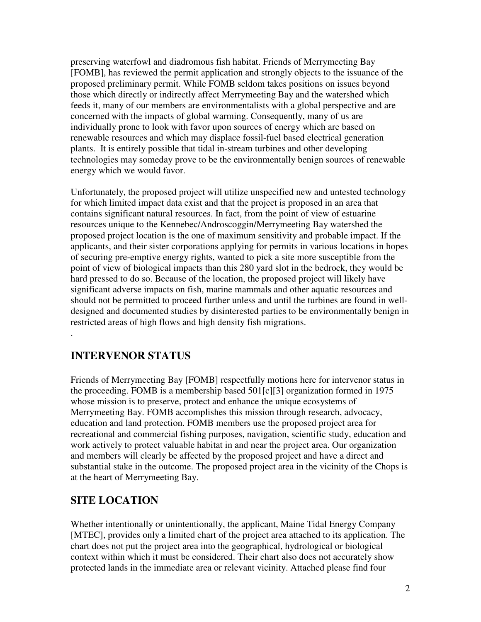preserving waterfowl and diadromous fish habitat. Friends of Merrymeeting Bay [FOMB], has reviewed the permit application and strongly objects to the issuance of the proposed preliminary permit. While FOMB seldom takes positions on issues beyond those which directly or indirectly affect Merrymeeting Bay and the watershed which feeds it, many of our members are environmentalists with a global perspective and are concerned with the impacts of global warming. Consequently, many of us are individually prone to look with favor upon sources of energy which are based on renewable resources and which may displace fossil-fuel based electrical generation plants. It is entirely possible that tidal in-stream turbines and other developing technologies may someday prove to be the environmentally benign sources of renewable energy which we would favor.

Unfortunately, the proposed project will utilize unspecified new and untested technology for which limited impact data exist and that the project is proposed in an area that contains significant natural resources. In fact, from the point of view of estuarine resources unique to the Kennebec/Androscoggin/Merrymeeting Bay watershed the proposed project location is the one of maximum sensitivity and probable impact. If the applicants, and their sister corporations applying for permits in various locations in hopes of securing pre-emptive energy rights, wanted to pick a site more susceptible from the point of view of biological impacts than this 280 yard slot in the bedrock, they would be hard pressed to do so. Because of the location, the proposed project will likely have significant adverse impacts on fish, marine mammals and other aquatic resources and should not be permitted to proceed further unless and until the turbines are found in welldesigned and documented studies by disinterested parties to be environmentally benign in restricted areas of high flows and high density fish migrations.

# **INTERVENOR STATUS**

.

Friends of Merrymeeting Bay [FOMB] respectfully motions here for intervenor status in the proceeding. FOMB is a membership based 501[c][3] organization formed in 1975 whose mission is to preserve, protect and enhance the unique ecosystems of Merrymeeting Bay. FOMB accomplishes this mission through research, advocacy, education and land protection. FOMB members use the proposed project area for recreational and commercial fishing purposes, navigation, scientific study, education and work actively to protect valuable habitat in and near the project area. Our organization and members will clearly be affected by the proposed project and have a direct and substantial stake in the outcome. The proposed project area in the vicinity of the Chops is at the heart of Merrymeeting Bay.

# **SITE LOCATION**

Whether intentionally or unintentionally, the applicant, Maine Tidal Energy Company [MTEC], provides only a limited chart of the project area attached to its application. The chart does not put the project area into the geographical, hydrological or biological context within which it must be considered. Their chart also does not accurately show protected lands in the immediate area or relevant vicinity. Attached please find four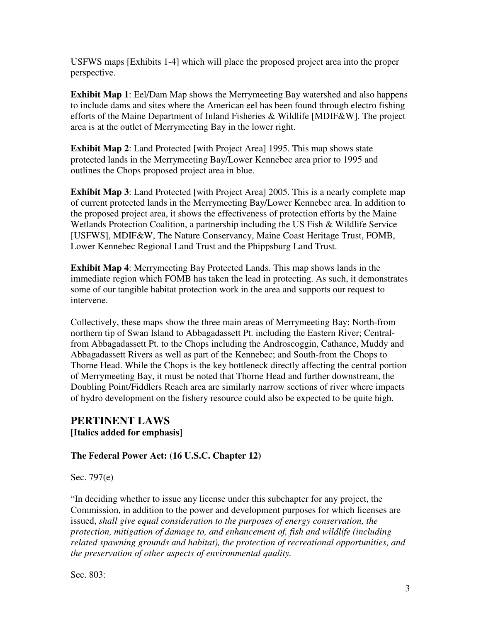USFWS maps [Exhibits 1-4] which will place the proposed project area into the proper perspective.

**Exhibit Map 1**: Eel/Dam Map shows the Merrymeeting Bay watershed and also happens to include dams and sites where the American eel has been found through electro fishing efforts of the Maine Department of Inland Fisheries & Wildlife [MDIF&W]. The project area is at the outlet of Merrymeeting Bay in the lower right.

**Exhibit Map 2**: Land Protected [with Project Area] 1995. This map shows state protected lands in the Merrymeeting Bay/Lower Kennebec area prior to 1995 and outlines the Chops proposed project area in blue.

**Exhibit Map 3**: Land Protected [with Project Area] 2005. This is a nearly complete map of current protected lands in the Merrymeeting Bay/Lower Kennebec area. In addition to the proposed project area, it shows the effectiveness of protection efforts by the Maine Wetlands Protection Coalition, a partnership including the US Fish & Wildlife Service [USFWS], MDIF&W, The Nature Conservancy, Maine Coast Heritage Trust, FOMB, Lower Kennebec Regional Land Trust and the Phippsburg Land Trust.

**Exhibit Map 4**: Merrymeeting Bay Protected Lands. This map shows lands in the immediate region which FOMB has taken the lead in protecting. As such, it demonstrates some of our tangible habitat protection work in the area and supports our request to intervene.

Collectively, these maps show the three main areas of Merrymeeting Bay: North-from northern tip of Swan Island to Abbagadassett Pt. including the Eastern River; Centralfrom Abbagadassett Pt. to the Chops including the Androscoggin, Cathance, Muddy and Abbagadassett Rivers as well as part of the Kennebec; and South-from the Chops to Thorne Head. While the Chops is the key bottleneck directly affecting the central portion of Merrymeeting Bay, it must be noted that Thorne Head and further downstream, the Doubling Point/Fiddlers Reach area are similarly narrow sections of river where impacts of hydro development on the fishery resource could also be expected to be quite high.

### **PERTINENT LAWS [Italics added for emphasis]**

### **The Federal Power Act: (16 U.S.C. Chapter 12)**

Sec. 797(e)

"In deciding whether to issue any license under this subchapter for any project, the Commission, in addition to the power and development purposes for which licenses are issued, *shall give equal consideration to the purposes of energy conservation, the protection, mitigation of damage to, and enhancement of, fish and wildlife (including related spawning grounds and habitat), the protection of recreational opportunities, and the preservation of other aspects of environmental quality.*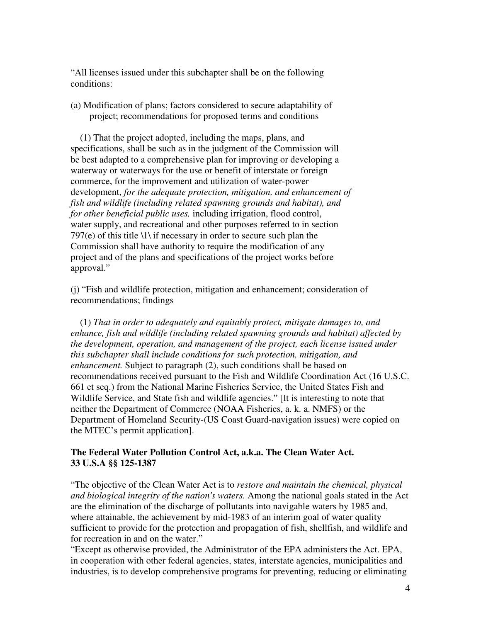"All licenses issued under this subchapter shall be on the following conditions:

(a) Modification of plans; factors considered to secure adaptability of project; recommendations for proposed terms and conditions

 (1) That the project adopted, including the maps, plans, and specifications, shall be such as in the judgment of the Commission will be best adapted to a comprehensive plan for improving or developing a waterway or waterways for the use or benefit of interstate or foreign commerce, for the improvement and utilization of water-power development, *for the adequate protection, mitigation, and enhancement of fish and wildlife (including related spawning grounds and habitat), and for other beneficial public uses,* including irrigation, flood control, water supply, and recreational and other purposes referred to in section 797(e) of this title  $\langle 1 \rangle$  if necessary in order to secure such plan the Commission shall have authority to require the modification of any project and of the plans and specifications of the project works before approval."

(j) "Fish and wildlife protection, mitigation and enhancement; consideration of recommendations; findings

 (1) *That in order to adequately and equitably protect, mitigate damages to, and enhance, fish and wildlife (including related spawning grounds and habitat) affected by the development, operation, and management of the project, each license issued under this subchapter shall include conditions for such protection, mitigation, and enhancement.* Subject to paragraph (2), such conditions shall be based on recommendations received pursuant to the Fish and Wildlife Coordination Act (16 U.S.C. 661 et seq.) from the National Marine Fisheries Service, the United States Fish and Wildlife Service, and State fish and wildlife agencies." [It is interesting to note that neither the Department of Commerce (NOAA Fisheries, a. k. a. NMFS) or the Department of Homeland Security-(US Coast Guard-navigation issues) were copied on the MTEC's permit application].

### **The Federal Water Pollution Control Act, a.k.a. The Clean Water Act. 33 U.S.A §§ 125-1387**

"The objective of the Clean Water Act is to *restore and maintain the chemical, physical and biological integrity of the nation's waters.* Among the national goals stated in the Act are the elimination of the discharge of pollutants into navigable waters by 1985 and, where attainable, the achievement by mid-1983 of an interim goal of water quality sufficient to provide for the protection and propagation of fish, shellfish, and wildlife and for recreation in and on the water."

"Except as otherwise provided, the Administrator of the EPA administers the Act. EPA, in cooperation with other federal agencies, states, interstate agencies, municipalities and industries, is to develop comprehensive programs for preventing, reducing or eliminating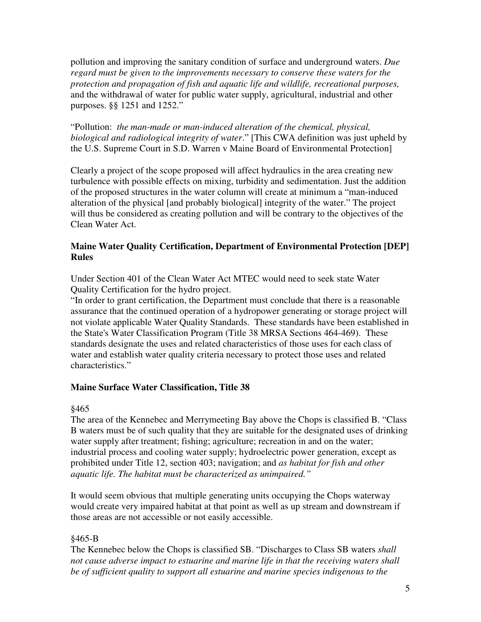pollution and improving the sanitary condition of surface and underground waters. *Due regard must be given to the improvements necessary to conserve these waters for the protection and propagation of fish and aquatic life and wildlife, recreational purposes,* and the withdrawal of water for public water supply, agricultural, industrial and other purposes. §§ 1251 and 1252."

"Pollution: *the man-made or man-induced alteration of the chemical, physical, biological and radiological integrity of water*." [This CWA definition was just upheld by the U.S. Supreme Court in S.D. Warren v Maine Board of Environmental Protection]

Clearly a project of the scope proposed will affect hydraulics in the area creating new turbulence with possible effects on mixing, turbidity and sedimentation. Just the addition of the proposed structures in the water column will create at minimum a "man-induced alteration of the physical [and probably biological] integrity of the water." The project will thus be considered as creating pollution and will be contrary to the objectives of the Clean Water Act.

### **Maine Water Quality Certification, Department of Environmental Protection [DEP] Rules**

Under Section 401 of the Clean Water Act MTEC would need to seek state Water Quality Certification for the hydro project.

"In order to grant certification, the Department must conclude that there is a reasonable assurance that the continued operation of a hydropower generating or storage project will not violate applicable Water Quality Standards. These standards have been established in the State's Water Classification Program (Title 38 MRSA Sections 464-469). These standards designate the uses and related characteristics of those uses for each class of water and establish water quality criteria necessary to protect those uses and related characteristics."

### **Maine Surface Water Classification, Title 38**

#### §465

The area of the Kennebec and Merrymeeting Bay above the Chops is classified B. "Class B waters must be of such quality that they are suitable for the designated uses of drinking water supply after treatment; fishing; agriculture; recreation in and on the water; industrial process and cooling water supply; hydroelectric power generation, except as prohibited under Title 12, section 403; navigation; and *as habitat for fish and other aquatic life. The habitat must be characterized as unimpaired."* 

It would seem obvious that multiple generating units occupying the Chops waterway would create very impaired habitat at that point as well as up stream and downstream if those areas are not accessible or not easily accessible.

### §465-B

The Kennebec below the Chops is classified SB. "Discharges to Class SB waters *shall not cause adverse impact to estuarine and marine life in that the receiving waters shall be of sufficient quality to support all estuarine and marine species indigenous to the*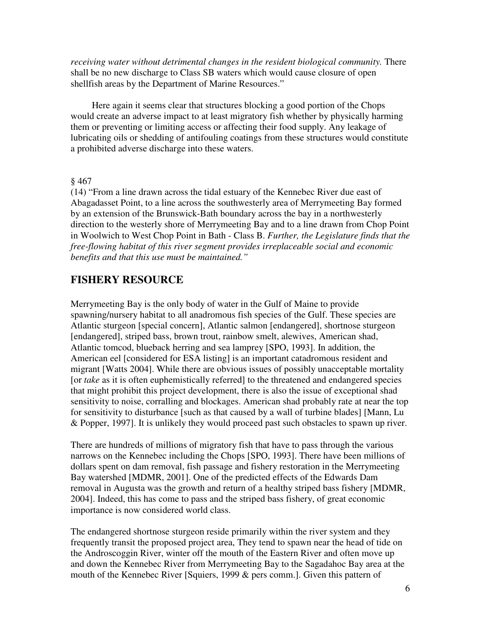*receiving water without detrimental changes in the resident biological community.* There shall be no new discharge to Class SB waters which would cause closure of open shellfish areas by the Department of Marine Resources."

Here again it seems clear that structures blocking a good portion of the Chops would create an adverse impact to at least migratory fish whether by physically harming them or preventing or limiting access or affecting their food supply. Any leakage of lubricating oils or shedding of antifouling coatings from these structures would constitute a prohibited adverse discharge into these waters.

#### § 467

(14) "From a line drawn across the tidal estuary of the Kennebec River due east of Abagadasset Point, to a line across the southwesterly area of Merrymeeting Bay formed by an extension of the Brunswick-Bath boundary across the bay in a northwesterly direction to the westerly shore of Merrymeeting Bay and to a line drawn from Chop Point in Woolwich to West Chop Point in Bath - Class B. *Further, the Legislature finds that the free-flowing habitat of this river segment provides irreplaceable social and economic benefits and that this use must be maintained."* 

### **FISHERY RESOURCE**

Merrymeeting Bay is the only body of water in the Gulf of Maine to provide spawning/nursery habitat to all anadromous fish species of the Gulf. These species are Atlantic sturgeon [special concern], Atlantic salmon [endangered], shortnose sturgeon [endangered], striped bass, brown trout, rainbow smelt, alewives, American shad, Atlantic tomcod, blueback herring and sea lamprey [SPO, 1993]. In addition, the American eel [considered for ESA listing] is an important catadromous resident and migrant [Watts 2004]. While there are obvious issues of possibly unacceptable mortality [or *take* as it is often euphemistically referred] to the threatened and endangered species that might prohibit this project development, there is also the issue of exceptional shad sensitivity to noise, corralling and blockages. American shad probably rate at near the top for sensitivity to disturbance [such as that caused by a wall of turbine blades] [Mann, Lu & Popper, 1997]. It is unlikely they would proceed past such obstacles to spawn up river.

There are hundreds of millions of migratory fish that have to pass through the various narrows on the Kennebec including the Chops [SPO, 1993]. There have been millions of dollars spent on dam removal, fish passage and fishery restoration in the Merrymeeting Bay watershed [MDMR, 2001]. One of the predicted effects of the Edwards Dam removal in Augusta was the growth and return of a healthy striped bass fishery [MDMR, 2004]. Indeed, this has come to pass and the striped bass fishery, of great economic importance is now considered world class.

The endangered shortnose sturgeon reside primarily within the river system and they frequently transit the proposed project area, They tend to spawn near the head of tide on the Androscoggin River, winter off the mouth of the Eastern River and often move up and down the Kennebec River from Merrymeeting Bay to the Sagadahoc Bay area at the mouth of the Kennebec River [Squiers, 1999 & pers comm.]. Given this pattern of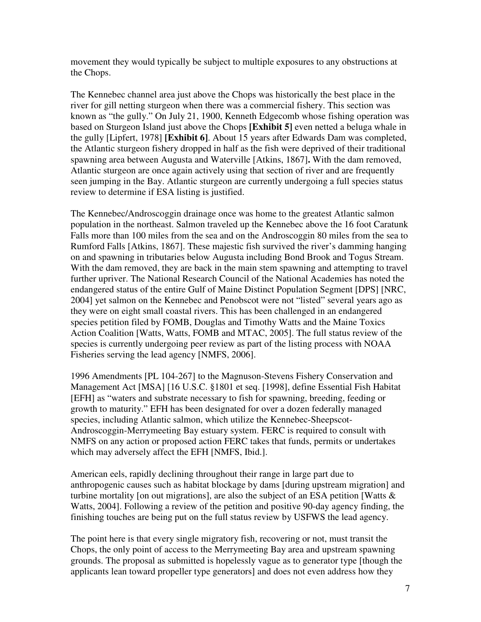movement they would typically be subject to multiple exposures to any obstructions at the Chops.

The Kennebec channel area just above the Chops was historically the best place in the river for gill netting sturgeon when there was a commercial fishery. This section was known as "the gully." On July 21, 1900, Kenneth Edgecomb whose fishing operation was based on Sturgeon Island just above the Chops **[Exhibit 5]** even netted a beluga whale in the gully [Lipfert, 1978] **[Exhibit 6]**. About 15 years after Edwards Dam was completed, the Atlantic sturgeon fishery dropped in half as the fish were deprived of their traditional spawning area between Augusta and Waterville [Atkins, 1867]**.** With the dam removed, Atlantic sturgeon are once again actively using that section of river and are frequently seen jumping in the Bay. Atlantic sturgeon are currently undergoing a full species status review to determine if ESA listing is justified.

The Kennebec/Androscoggin drainage once was home to the greatest Atlantic salmon population in the northeast. Salmon traveled up the Kennebec above the 16 foot Caratunk Falls more than 100 miles from the sea and on the Androscoggin 80 miles from the sea to Rumford Falls [Atkins, 1867]. These majestic fish survived the river's damming hanging on and spawning in tributaries below Augusta including Bond Brook and Togus Stream. With the dam removed, they are back in the main stem spawning and attempting to travel further upriver. The National Research Council of the National Academies has noted the endangered status of the entire Gulf of Maine Distinct Population Segment [DPS] [NRC, 2004] yet salmon on the Kennebec and Penobscot were not "listed" several years ago as they were on eight small coastal rivers. This has been challenged in an endangered species petition filed by FOMB, Douglas and Timothy Watts and the Maine Toxics Action Coalition [Watts, Watts, FOMB and MTAC, 2005]. The full status review of the species is currently undergoing peer review as part of the listing process with NOAA Fisheries serving the lead agency [NMFS, 2006].

1996 Amendments [PL 104-267] to the Magnuson-Stevens Fishery Conservation and Management Act [MSA] [16 U.S.C. §1801 et seq. [1998], define Essential Fish Habitat [EFH] as "waters and substrate necessary to fish for spawning, breeding, feeding or growth to maturity." EFH has been designated for over a dozen federally managed species, including Atlantic salmon, which utilize the Kennebec-Sheepscot-Androscoggin-Merrymeeting Bay estuary system. FERC is required to consult with NMFS on any action or proposed action FERC takes that funds, permits or undertakes which may adversely affect the EFH [NMFS, Ibid.].

American eels, rapidly declining throughout their range in large part due to anthropogenic causes such as habitat blockage by dams [during upstream migration] and turbine mortality [on out migrations], are also the subject of an ESA petition [Watts  $\&$ Watts, 2004]. Following a review of the petition and positive 90-day agency finding, the finishing touches are being put on the full status review by USFWS the lead agency.

The point here is that every single migratory fish, recovering or not, must transit the Chops, the only point of access to the Merrymeeting Bay area and upstream spawning grounds. The proposal as submitted is hopelessly vague as to generator type [though the applicants lean toward propeller type generators] and does not even address how they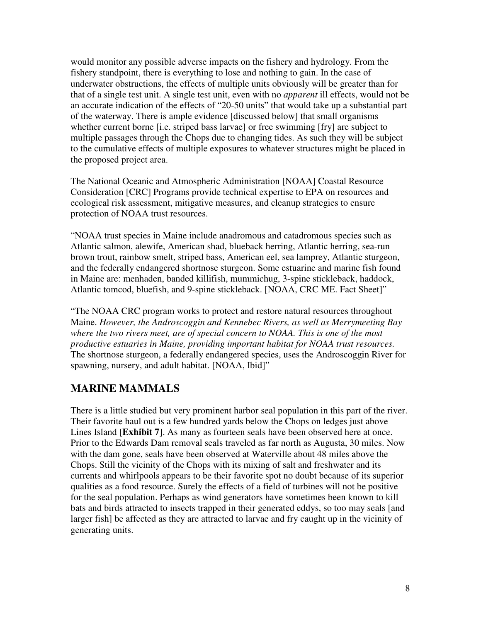would monitor any possible adverse impacts on the fishery and hydrology. From the fishery standpoint, there is everything to lose and nothing to gain. In the case of underwater obstructions, the effects of multiple units obviously will be greater than for that of a single test unit. A single test unit, even with no *apparent* ill effects, would not be an accurate indication of the effects of "20-50 units" that would take up a substantial part of the waterway. There is ample evidence [discussed below] that small organisms whether current borne *[i.e. striped bass larvae]* or free swimming *[fry]* are subject to multiple passages through the Chops due to changing tides. As such they will be subject to the cumulative effects of multiple exposures to whatever structures might be placed in the proposed project area.

The National Oceanic and Atmospheric Administration [NOAA] Coastal Resource Consideration [CRC] Programs provide technical expertise to EPA on resources and ecological risk assessment, mitigative measures, and cleanup strategies to ensure protection of NOAA trust resources.

"NOAA trust species in Maine include anadromous and catadromous species such as Atlantic salmon, alewife, American shad, blueback herring, Atlantic herring, sea-run brown trout, rainbow smelt, striped bass, American eel, sea lamprey, Atlantic sturgeon, and the federally endangered shortnose sturgeon. Some estuarine and marine fish found in Maine are: menhaden, banded killifish, mummichug, 3-spine stickleback, haddock, Atlantic tomcod, bluefish, and 9-spine stickleback. [NOAA, CRC ME. Fact Sheet]"

"The NOAA CRC program works to protect and restore natural resources throughout Maine. *However, the Androscoggin and Kennebec Rivers, as well as Merrymeeting Bay where the two rivers meet, are of special concern to NOAA. This is one of the most productive estuaries in Maine, providing important habitat for NOAA trust resources.* The shortnose sturgeon, a federally endangered species, uses the Androscoggin River for spawning, nursery, and adult habitat. [NOAA, Ibid]"

# **MARINE MAMMALS**

There is a little studied but very prominent harbor seal population in this part of the river. Their favorite haul out is a few hundred yards below the Chops on ledges just above Lines Island [**Exhibit 7**]. As many as fourteen seals have been observed here at once. Prior to the Edwards Dam removal seals traveled as far north as Augusta, 30 miles. Now with the dam gone, seals have been observed at Waterville about 48 miles above the Chops. Still the vicinity of the Chops with its mixing of salt and freshwater and its currents and whirlpools appears to be their favorite spot no doubt because of its superior qualities as a food resource. Surely the effects of a field of turbines will not be positive for the seal population. Perhaps as wind generators have sometimes been known to kill bats and birds attracted to insects trapped in their generated eddys, so too may seals [and larger fish] be affected as they are attracted to larvae and fry caught up in the vicinity of generating units.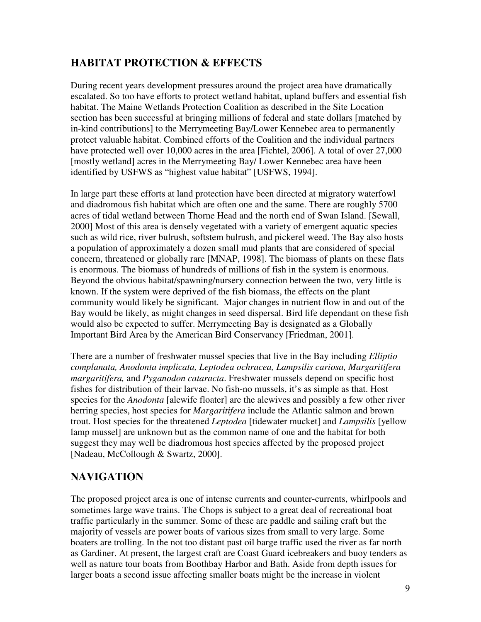# **HABITAT PROTECTION & EFFECTS**

During recent years development pressures around the project area have dramatically escalated. So too have efforts to protect wetland habitat, upland buffers and essential fish habitat. The Maine Wetlands Protection Coalition as described in the Site Location section has been successful at bringing millions of federal and state dollars [matched by in-kind contributions] to the Merrymeeting Bay/Lower Kennebec area to permanently protect valuable habitat. Combined efforts of the Coalition and the individual partners have protected well over 10,000 acres in the area [Fichtel, 2006]. A total of over 27,000 [mostly wetland] acres in the Merrymeeting Bay/ Lower Kennebec area have been identified by USFWS as "highest value habitat" [USFWS, 1994].

In large part these efforts at land protection have been directed at migratory waterfowl and diadromous fish habitat which are often one and the same. There are roughly 5700 acres of tidal wetland between Thorne Head and the north end of Swan Island. [Sewall, 2000] Most of this area is densely vegetated with a variety of emergent aquatic species such as wild rice, river bulrush, softstem bulrush, and pickerel weed. The Bay also hosts a population of approximately a dozen small mud plants that are considered of special concern, threatened or globally rare [MNAP, 1998]. The biomass of plants on these flats is enormous. The biomass of hundreds of millions of fish in the system is enormous. Beyond the obvious habitat/spawning/nursery connection between the two, very little is known. If the system were deprived of the fish biomass, the effects on the plant community would likely be significant. Major changes in nutrient flow in and out of the Bay would be likely, as might changes in seed dispersal. Bird life dependant on these fish would also be expected to suffer. Merrymeeting Bay is designated as a Globally Important Bird Area by the American Bird Conservancy [Friedman, 2001].

There are a number of freshwater mussel species that live in the Bay including *Elliptio complanata, Anodonta implicata, Leptodea ochracea, Lampsilis cariosa, Margaritifera margaritifera,* and *Pyganodon cataracta*. Freshwater mussels depend on specific host fishes for distribution of their larvae. No fish-no mussels, it's as simple as that. Host species for the *Anodonta* [alewife floater] are the alewives and possibly a few other river herring species, host species for *Margaritifera* include the Atlantic salmon and brown trout. Host species for the threatened *Leptodea* [tidewater mucket] and *Lampsilis* [yellow lamp mussel] are unknown but as the common name of one and the habitat for both suggest they may well be diadromous host species affected by the proposed project [Nadeau, McCollough & Swartz, 2000].

# **NAVIGATION**

The proposed project area is one of intense currents and counter-currents, whirlpools and sometimes large wave trains. The Chops is subject to a great deal of recreational boat traffic particularly in the summer. Some of these are paddle and sailing craft but the majority of vessels are power boats of various sizes from small to very large. Some boaters are trolling. In the not too distant past oil barge traffic used the river as far north as Gardiner. At present, the largest craft are Coast Guard icebreakers and buoy tenders as well as nature tour boats from Boothbay Harbor and Bath. Aside from depth issues for larger boats a second issue affecting smaller boats might be the increase in violent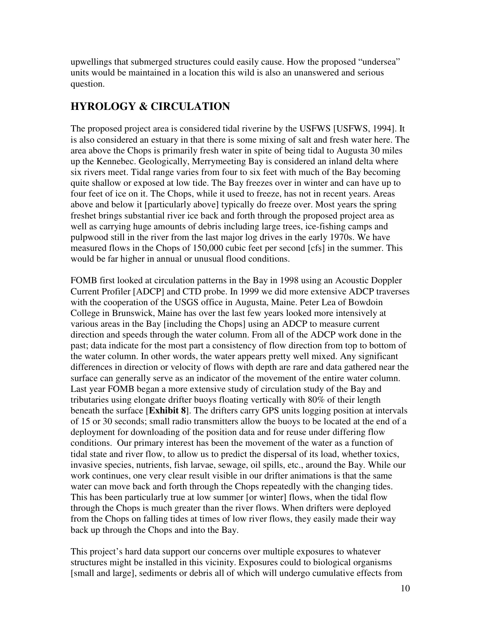upwellings that submerged structures could easily cause. How the proposed "undersea" units would be maintained in a location this wild is also an unanswered and serious question.

# **HYROLOGY & CIRCULATION**

The proposed project area is considered tidal riverine by the USFWS [USFWS, 1994]. It is also considered an estuary in that there is some mixing of salt and fresh water here. The area above the Chops is primarily fresh water in spite of being tidal to Augusta 30 miles up the Kennebec. Geologically, Merrymeeting Bay is considered an inland delta where six rivers meet. Tidal range varies from four to six feet with much of the Bay becoming quite shallow or exposed at low tide. The Bay freezes over in winter and can have up to four feet of ice on it. The Chops, while it used to freeze, has not in recent years. Areas above and below it [particularly above] typically do freeze over. Most years the spring freshet brings substantial river ice back and forth through the proposed project area as well as carrying huge amounts of debris including large trees, ice-fishing camps and pulpwood still in the river from the last major log drives in the early 1970s. We have measured flows in the Chops of 150,000 cubic feet per second [cfs] in the summer. This would be far higher in annual or unusual flood conditions.

FOMB first looked at circulation patterns in the Bay in 1998 using an Acoustic Doppler Current Profiler [ADCP] and CTD probe. In 1999 we did more extensive ADCP traverses with the cooperation of the USGS office in Augusta, Maine. Peter Lea of Bowdoin College in Brunswick, Maine has over the last few years looked more intensively at various areas in the Bay [including the Chops] using an ADCP to measure current direction and speeds through the water column. From all of the ADCP work done in the past; data indicate for the most part a consistency of flow direction from top to bottom of the water column. In other words, the water appears pretty well mixed. Any significant differences in direction or velocity of flows with depth are rare and data gathered near the surface can generally serve as an indicator of the movement of the entire water column. Last year FOMB began a more extensive study of circulation study of the Bay and tributaries using elongate drifter buoys floating vertically with 80% of their length beneath the surface [**Exhibit 8**]. The drifters carry GPS units logging position at intervals of 15 or 30 seconds; small radio transmitters allow the buoys to be located at the end of a deployment for downloading of the position data and for reuse under differing flow conditions. Our primary interest has been the movement of the water as a function of tidal state and river flow, to allow us to predict the dispersal of its load, whether toxics, invasive species, nutrients, fish larvae, sewage, oil spills, etc., around the Bay. While our work continues, one very clear result visible in our drifter animations is that the same water can move back and forth through the Chops repeatedly with the changing tides. This has been particularly true at low summer [or winter] flows, when the tidal flow through the Chops is much greater than the river flows. When drifters were deployed from the Chops on falling tides at times of low river flows, they easily made their way back up through the Chops and into the Bay.

This project's hard data support our concerns over multiple exposures to whatever structures might be installed in this vicinity. Exposures could to biological organisms [small and large], sediments or debris all of which will undergo cumulative effects from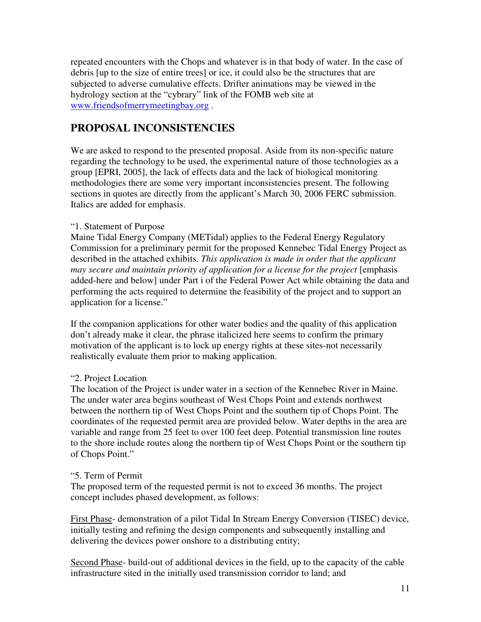repeated encounters with the Chops and whatever is in that body of water. In the case of debris [up to the size of entire trees] or ice, it could also be the structures that are subjected to adverse cumulative effects. Drifter animations may be viewed in the hydrology section at the "cybrary" link of the FOMB web site at www.friendsofmerrymeetingbay.org .

# **PROPOSAL INCONSISTENCIES**

We are asked to respond to the presented proposal. Aside from its non-specific nature regarding the technology to be used, the experimental nature of those technologies as a group [EPRI, 2005], the lack of effects data and the lack of biological monitoring methodologies there are some very important inconsistencies present. The following sections in quotes are directly from the applicant's March 30, 2006 FERC submission. Italics are added for emphasis.

### "1. Statement of Purpose

Maine Tidal Energy Company (METidal) applies to the Federal Energy Regulatory Commission for a preliminary permit for the proposed Kennebec Tidal Energy Project as described in the attached exhibits. *This application is made in order that the applicant may secure and maintain priority of application for a license for the project* [emphasis added-here and below] under Part i of the Federal Power Act while obtaining the data and performing the acts required to determine the feasibility of the project and to support an application for a license."

If the companion applications for other water bodies and the quality of this application don't already make it clear, the phrase italicized here seems to confirm the primary motivation of the applicant is to lock up energy rights at these sites-not necessarily realistically evaluate them prior to making application.

### "2. Project Location

The location of the Project is under water in a section of the Kennebec River in Maine. The under water area begins southeast of West Chops Point and extends northwest between the northern tip of West Chops Point and the southern tip of Chops Point. The coordinates of the requested permit area are provided below. Water depths in the area are variable and range from 25 feet to over 100 feet deep. Potential transmission line routes to the shore include routes along the northern tip of West Chops Point or the southern tip of Chops Point."

#### "5. Term of Permit

The proposed term of the requested permit is not to exceed 36 months. The project concept includes phased development, as follows:

First Phase- demonstration of a pilot Tidal In Stream Energy Conversion (TISEC) device, initially testing and refining the design components and subsequently installing and delivering the devices power onshore to a distributing entity;

Second Phase- build-out of additional devices in the field, up to the capacity of the cable infrastructure sited in the initially used transmission corridor to land; and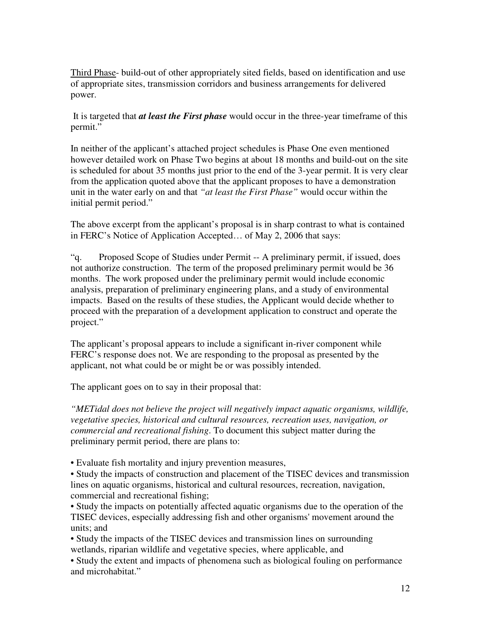Third Phase- build-out of other appropriately sited fields, based on identification and use of appropriate sites, transmission corridors and business arrangements for delivered power.

 It is targeted that *at least the First phase* would occur in the three-year timeframe of this permit."

In neither of the applicant's attached project schedules is Phase One even mentioned however detailed work on Phase Two begins at about 18 months and build-out on the site is scheduled for about 35 months just prior to the end of the 3-year permit. It is very clear from the application quoted above that the applicant proposes to have a demonstration unit in the water early on and that *"at least the First Phase"* would occur within the initial permit period."

The above excerpt from the applicant's proposal is in sharp contrast to what is contained in FERC's Notice of Application Accepted… of May 2, 2006 that says:

"q. Proposed Scope of Studies under Permit -- A preliminary permit, if issued, does not authorize construction. The term of the proposed preliminary permit would be 36 months. The work proposed under the preliminary permit would include economic analysis, preparation of preliminary engineering plans, and a study of environmental impacts. Based on the results of these studies, the Applicant would decide whether to proceed with the preparation of a development application to construct and operate the project."

The applicant's proposal appears to include a significant in-river component while FERC's response does not. We are responding to the proposal as presented by the applicant, not what could be or might be or was possibly intended.

The applicant goes on to say in their proposal that:

*"METidal does not believe the project will negatively impact aquatic organisms, wildlife, vegetative species, historical and cultural resources, recreation uses, navigation, or commercial and recreational fishing*. To document this subject matter during the preliminary permit period, there are plans to:

• Evaluate fish mortality and injury prevention measures,

• Study the impacts of construction and placement of the TISEC devices and transmission lines on aquatic organisms, historical and cultural resources, recreation, navigation, commercial and recreational fishing;

• Study the impacts on potentially affected aquatic organisms due to the operation of the TISEC devices, especially addressing fish and other organisms' movement around the units; and

• Study the impacts of the TISEC devices and transmission lines on surrounding wetlands, riparian wildlife and vegetative species, where applicable, and

• Study the extent and impacts of phenomena such as biological fouling on performance and microhabitat."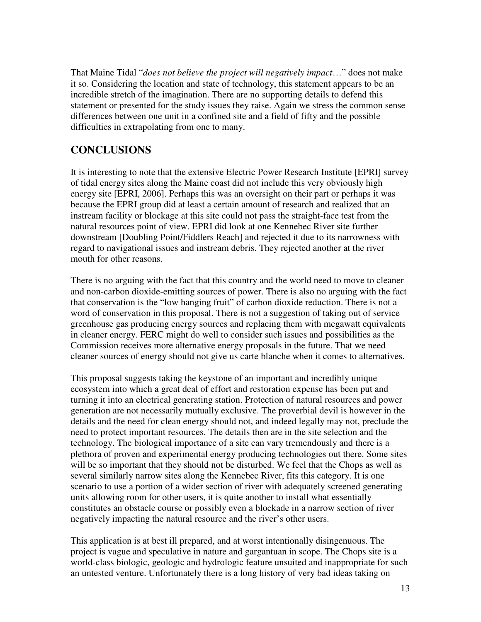That Maine Tidal "*does not believe the project will negatively impact*…" does not make it so. Considering the location and state of technology, this statement appears to be an incredible stretch of the imagination. There are no supporting details to defend this statement or presented for the study issues they raise. Again we stress the common sense differences between one unit in a confined site and a field of fifty and the possible difficulties in extrapolating from one to many.

# **CONCLUSIONS**

It is interesting to note that the extensive Electric Power Research Institute [EPRI] survey of tidal energy sites along the Maine coast did not include this very obviously high energy site [EPRI, 2006]. Perhaps this was an oversight on their part or perhaps it was because the EPRI group did at least a certain amount of research and realized that an instream facility or blockage at this site could not pass the straight-face test from the natural resources point of view. EPRI did look at one Kennebec River site further downstream [Doubling Point/Fiddlers Reach] and rejected it due to its narrowness with regard to navigational issues and instream debris. They rejected another at the river mouth for other reasons.

There is no arguing with the fact that this country and the world need to move to cleaner and non-carbon dioxide-emitting sources of power. There is also no arguing with the fact that conservation is the "low hanging fruit" of carbon dioxide reduction. There is not a word of conservation in this proposal. There is not a suggestion of taking out of service greenhouse gas producing energy sources and replacing them with megawatt equivalents in cleaner energy. FERC might do well to consider such issues and possibilities as the Commission receives more alternative energy proposals in the future. That we need cleaner sources of energy should not give us carte blanche when it comes to alternatives.

This proposal suggests taking the keystone of an important and incredibly unique ecosystem into which a great deal of effort and restoration expense has been put and turning it into an electrical generating station. Protection of natural resources and power generation are not necessarily mutually exclusive. The proverbial devil is however in the details and the need for clean energy should not, and indeed legally may not, preclude the need to protect important resources. The details then are in the site selection and the technology. The biological importance of a site can vary tremendously and there is a plethora of proven and experimental energy producing technologies out there. Some sites will be so important that they should not be disturbed. We feel that the Chops as well as several similarly narrow sites along the Kennebec River, fits this category. It is one scenario to use a portion of a wider section of river with adequately screened generating units allowing room for other users, it is quite another to install what essentially constitutes an obstacle course or possibly even a blockade in a narrow section of river negatively impacting the natural resource and the river's other users.

This application is at best ill prepared, and at worst intentionally disingenuous. The project is vague and speculative in nature and gargantuan in scope. The Chops site is a world-class biologic, geologic and hydrologic feature unsuited and inappropriate for such an untested venture. Unfortunately there is a long history of very bad ideas taking on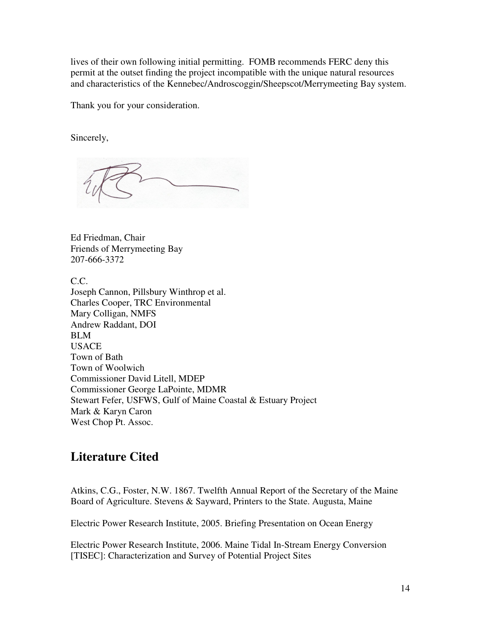lives of their own following initial permitting. FOMB recommends FERC deny this permit at the outset finding the project incompatible with the unique natural resources and characteristics of the Kennebec/Androscoggin/Sheepscot/Merrymeeting Bay system.

Thank you for your consideration.

Sincerely,

Ed Friedman, Chair Friends of Merrymeeting Bay 207-666-3372

C.C.

Joseph Cannon, Pillsbury Winthrop et al. Charles Cooper, TRC Environmental Mary Colligan, NMFS Andrew Raddant, DOI BLM USACE Town of Bath Town of Woolwich Commissioner David Litell, MDEP Commissioner George LaPointe, MDMR Stewart Fefer, USFWS, Gulf of Maine Coastal & Estuary Project Mark & Karyn Caron West Chop Pt. Assoc.

# **Literature Cited**

Atkins, C.G., Foster, N.W. 1867. Twelfth Annual Report of the Secretary of the Maine Board of Agriculture. Stevens & Sayward, Printers to the State. Augusta, Maine

Electric Power Research Institute, 2005. Briefing Presentation on Ocean Energy

Electric Power Research Institute, 2006. Maine Tidal In-Stream Energy Conversion [TISEC]: Characterization and Survey of Potential Project Sites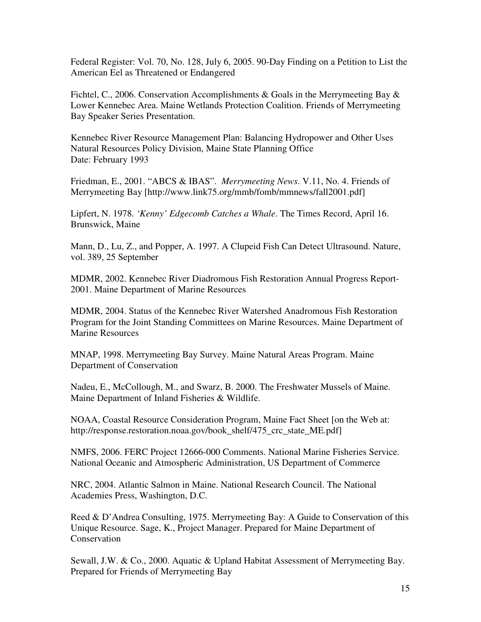Federal Register: Vol. 70, No. 128, July 6, 2005. 90-Day Finding on a Petition to List the American Eel as Threatened or Endangered

Fichtel, C., 2006. Conservation Accomplishments & Goals in the Merrymeeting Bay & Lower Kennebec Area. Maine Wetlands Protection Coalition. Friends of Merrymeeting Bay Speaker Series Presentation.

Kennebec River Resource Management Plan: Balancing Hydropower and Other Uses Natural Resources Policy Division, Maine State Planning Office Date: February 1993

Friedman, E., 2001. "ABCS & IBAS". *Merrymeeting News*. V.11, No. 4. Friends of Merrymeeting Bay [http://www.link75.org/mmb/fomb/mmnews/fall2001.pdf]

Lipfert, N. 1978. *'Kenny' Edgecomb Catches a Whale*. The Times Record, April 16. Brunswick, Maine

Mann, D., Lu, Z., and Popper, A. 1997. A Clupeid Fish Can Detect Ultrasound. Nature, vol. 389, 25 September

MDMR, 2002. Kennebec River Diadromous Fish Restoration Annual Progress Report-2001. Maine Department of Marine Resources

MDMR, 2004. Status of the Kennebec River Watershed Anadromous Fish Restoration Program for the Joint Standing Committees on Marine Resources. Maine Department of Marine Resources

MNAP, 1998. Merrymeeting Bay Survey. Maine Natural Areas Program. Maine Department of Conservation

Nadeu, E., McCollough, M., and Swarz, B. 2000. The Freshwater Mussels of Maine. Maine Department of Inland Fisheries & Wildlife.

NOAA, Coastal Resource Consideration Program, Maine Fact Sheet [on the Web at: http://response.restoration.noaa.gov/book\_shelf/475\_crc\_state\_ME.pdf]

NMFS, 2006. FERC Project 12666-000 Comments. National Marine Fisheries Service. National Oceanic and Atmospheric Administration, US Department of Commerce

NRC, 2004. Atlantic Salmon in Maine. National Research Council. The National Academies Press, Washington, D.C.

Reed & D'Andrea Consulting, 1975. Merrymeeting Bay: A Guide to Conservation of this Unique Resource. Sage, K., Project Manager. Prepared for Maine Department of Conservation

Sewall, J.W. & Co., 2000. Aquatic & Upland Habitat Assessment of Merrymeeting Bay. Prepared for Friends of Merrymeeting Bay